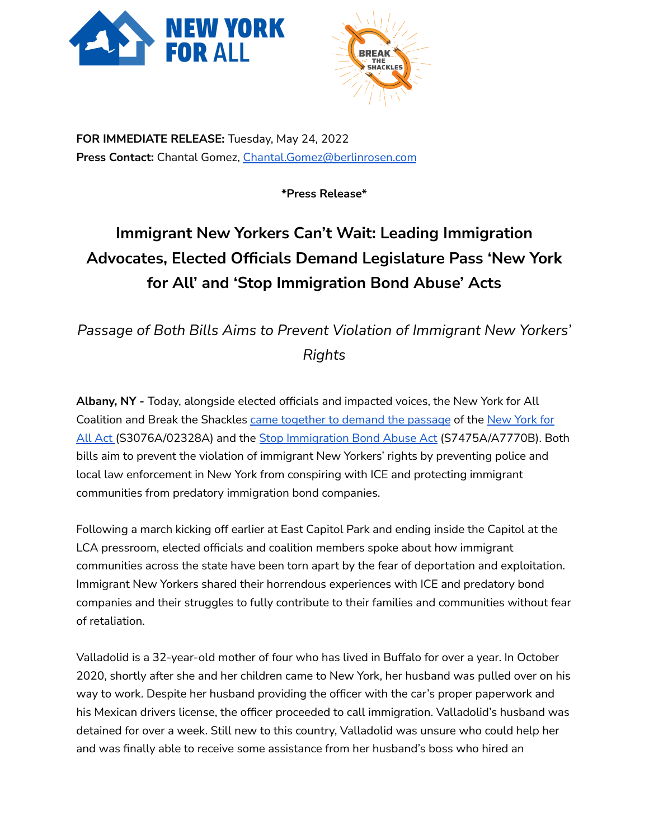



**FOR IMMEDIATE RELEASE:** Tuesday, May 24, 2022 **Press Contact:** Chantal Gomez, [Chantal.Gomez@berlinrosen.com](mailto:Chantal.Gomez@berlinrosen.com)

**\*Press Release\***

## **Immigrant New Yorkers Can't Wait: Leading Immigration Advocates, Elected Officials Demand Legislature Pass 'New York for All' and 'Stop Immigration Bond Abuse' Acts**

*Passage of Both Bills Aims to Prevent Violation of Immigrant New Yorkers' Rights*

**Albany, NY -** Today, alongside elected officials and impacted voices, the New York for All Coalition and Break the Shackles came [together](https://fb.watch/dcRuzW02GB/) to demand the passage of the [New](https://www.nysenate.gov/legislation/bills/2021/S3076) York for All [Act](https://www.nysenate.gov/legislation/bills/2021/S3076) (S3076A/02328A) and the Stop [Immigration](https://www.nysenate.gov/legislation/bills/2021/s7475) Bond Abuse Act (S7475A/A7770B). Both bills aim to prevent the violation of immigrant New Yorkers' rights by preventing police and local law enforcement in New York from conspiring with ICE and protecting immigrant communities from predatory immigration bond companies.

Following a march kicking off earlier at East Capitol Park and ending inside the Capitol at the LCA pressroom, elected officials and coalition members spoke about how immigrant communities across the state have been torn apart by the fear of deportation and exploitation. Immigrant New Yorkers shared their horrendous experiences with ICE and predatory bond companies and their struggles to fully contribute to their families and communities without fear of retaliation.

Valladolid is a 32-year-old mother of four who has lived in Buffalo for over a year. In October 2020, shortly after she and her children came to New York, her husband was pulled over on his way to work. Despite her husband providing the officer with the car's proper paperwork and his Mexican drivers license, the officer proceeded to call immigration. Valladolid's husband was detained for over a week. Still new to this country, Valladolid was unsure who could help her and was finally able to receive some assistance from her husband's boss who hired an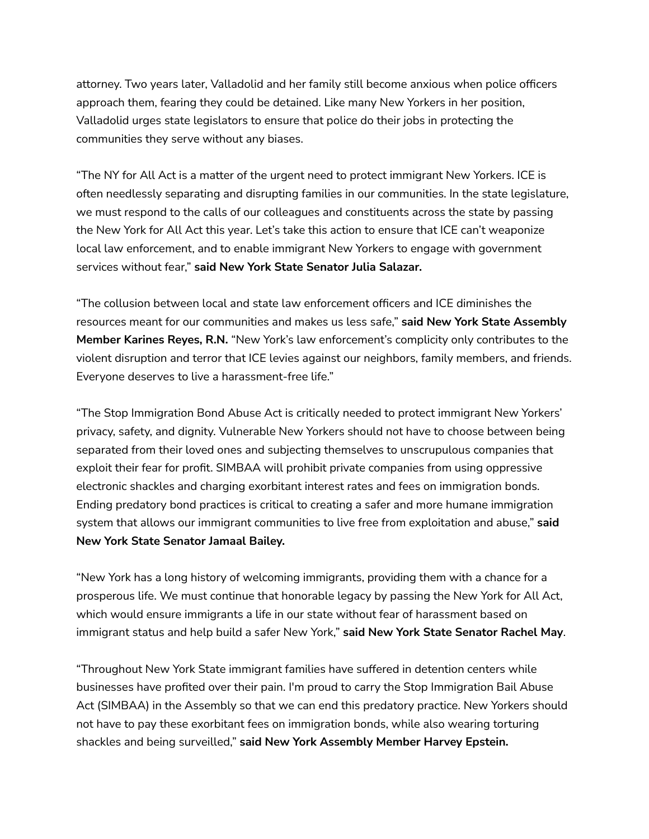attorney. Two years later, Valladolid and her family still become anxious when police officers approach them, fearing they could be detained. Like many New Yorkers in her position, Valladolid urges state legislators to ensure that police do their jobs in protecting the communities they serve without any biases.

"The NY for All Act is a matter of the urgent need to protect immigrant New Yorkers. ICE is often needlessly separating and disrupting families in our communities. In the state legislature, we must respond to the calls of our colleagues and constituents across the state by passing the New York for All Act this year. Let's take this action to ensure that ICE can't weaponize local law enforcement, and to enable immigrant New Yorkers to engage with government services without fear," **said New York State Senator Julia Salazar.**

"The collusion between local and state law enforcement officers and ICE diminishes the resources meant for our communities and makes us less safe," **said New York State Assembly Member Karines Reyes, R.N.** "New York's law enforcement's complicity only contributes to the violent disruption and terror that ICE levies against our neighbors, family members, and friends. Everyone deserves to live a harassment-free life."

"The Stop Immigration Bond Abuse Act is critically needed to protect immigrant New Yorkers' privacy, safety, and dignity. Vulnerable New Yorkers should not have to choose between being separated from their loved ones and subjecting themselves to unscrupulous companies that exploit their fear for profit. SIMBAA will prohibit private companies from using oppressive electronic shackles and charging exorbitant interest rates and fees on immigration bonds. Ending predatory bond practices is critical to creating a safer and more humane immigration system that allows our immigrant communities to live free from exploitation and abuse," **said New York State Senator Jamaal Bailey.**

"New York has a long history of welcoming immigrants, providing them with a chance for a prosperous life. We must continue that honorable legacy by passing the New York for All Act, which would ensure immigrants a life in our state without fear of harassment based on immigrant status and help build a safer New York," **said New York State Senator Rachel May**.

"Throughout New York State immigrant families have suffered in detention centers while businesses have profited over their pain. I'm proud to carry the Stop Immigration Bail Abuse Act (SIMBAA) in the Assembly so that we can end this predatory practice. New Yorkers should not have to pay these exorbitant fees on immigration bonds, while also wearing torturing shackles and being surveilled," **said New York Assembly Member Harvey Epstein.**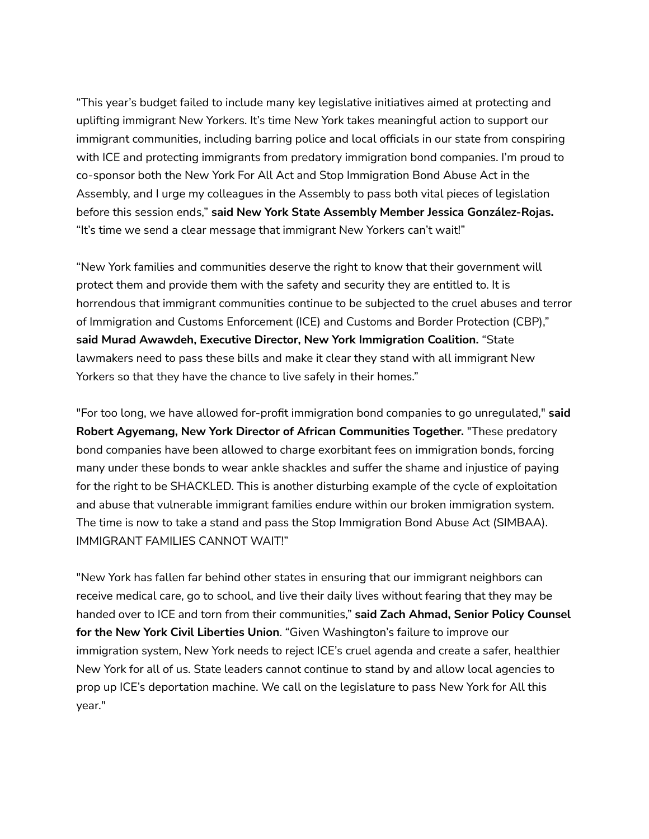"This year's budget failed to include many key legislative initiatives aimed at protecting and uplifting immigrant New Yorkers. It's time New York takes meaningful action to support our immigrant communities, including barring police and local officials in our state from conspiring with ICE and protecting immigrants from predatory immigration bond companies. I'm proud to co-sponsor both the New York For All Act and Stop Immigration Bond Abuse Act in the Assembly, and I urge my colleagues in the Assembly to pass both vital pieces of legislation before this session ends," **said New York State Assembly Member Jessica González-Rojas.** "It's time we send a clear message that immigrant New Yorkers can't wait!"

"New York families and communities deserve the right to know that their government will protect them and provide them with the safety and security they are entitled to. It is horrendous that immigrant communities continue to be subjected to the cruel abuses and terror of Immigration and Customs Enforcement (ICE) and Customs and Border Protection (CBP)," **said Murad Awawdeh, Executive Director, New York Immigration Coalition.** "State lawmakers need to pass these bills and make it clear they stand with all immigrant New Yorkers so that they have the chance to live safely in their homes."

"For too long, we have allowed for-profit immigration bond companies to go unregulated," **said Robert Agyemang, New York Director of African Communities Together.** "These predatory bond companies have been allowed to charge exorbitant fees on immigration bonds, forcing many under these bonds to wear ankle shackles and suffer the shame and injustice of paying for the right to be SHACKLED. This is another disturbing example of the cycle of exploitation and abuse that vulnerable immigrant families endure within our broken immigration system. The time is now to take a stand and pass the Stop Immigration Bond Abuse Act (SIMBAA). IMMIGRANT FAMILIES CANNOT WAIT!"

"New York has fallen far behind other states in ensuring that our immigrant neighbors can receive medical care, go to school, and live their daily lives without fearing that they may be handed over to ICE and torn from their communities," **said Zach Ahmad, Senior Policy Counsel for the New York Civil Liberties Union**. "Given Washington's failure to improve our immigration system, New York needs to reject ICE's cruel agenda and create a safer, healthier New York for all of us. State leaders cannot continue to stand by and allow local agencies to prop up ICE's deportation machine. We call on the legislature to pass New York for All this year."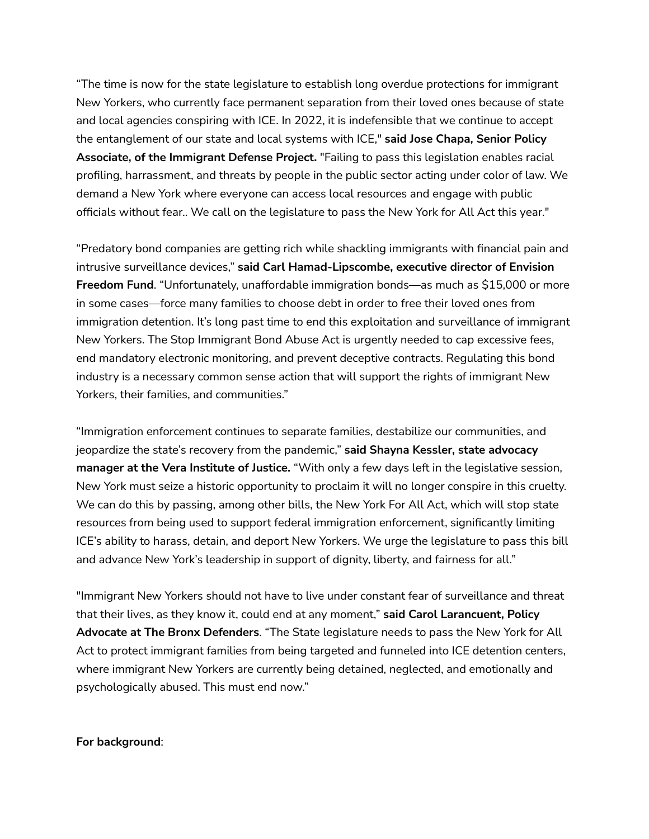"The time is now for the state legislature to establish long overdue protections for immigrant New Yorkers, who currently face permanent separation from their loved ones because of state and local agencies conspiring with ICE. In 2022, it is indefensible that we continue to accept the entanglement of our state and local systems with ICE," **said Jose Chapa, Senior Policy Associate, of the Immigrant Defense Project.** "Failing to pass this legislation enables racial profiling, harrassment, and threats by people in the public sector acting under color of law. We demand a New York where everyone can access local resources and engage with public officials without fear.. We call on the legislature to pass the New York for All Act this year."

"Predatory bond companies are getting rich while shackling immigrants with financial pain and intrusive surveillance devices," **said Carl Hamad-Lipscombe, executive director of Envision Freedom Fund**. "Unfortunately, unaffordable immigration bonds—as much as \$15,000 or more in some cases—force many families to choose debt in order to free their loved ones from immigration detention. It's long past time to end this exploitation and surveillance of immigrant New Yorkers. The Stop Immigrant Bond Abuse Act is urgently needed to cap excessive fees, end mandatory electronic monitoring, and prevent deceptive contracts. Regulating this bond industry is a necessary common sense action that will support the rights of immigrant New Yorkers, their families, and communities."

"Immigration enforcement continues to separate families, destabilize our communities, and jeopardize the state's recovery from the pandemic," **said Shayna Kessler, state advocacy manager at the Vera Institute of Justice.** "With only a few days left in the legislative session, New York must seize a historic opportunity to proclaim it will no longer conspire in this cruelty. We can do this by passing, among other bills, the New York For All Act, which will stop state resources from being used to support federal immigration enforcement, significantly limiting ICE's ability to harass, detain, and deport New Yorkers. We urge the legislature to pass this bill and advance New York's leadership in support of dignity, liberty, and fairness for all."

"Immigrant New Yorkers should not have to live under constant fear of surveillance and threat that their lives, as they know it, could end at any moment," **said Carol Larancuent, Policy Advocate at The Bronx Defenders**. "The State legislature needs to pass the New York for All Act to protect immigrant families from being targeted and funneled into ICE detention centers, where immigrant New Yorkers are currently being detained, neglected, and emotionally and psychologically abused. This must end now."

## **For background**: